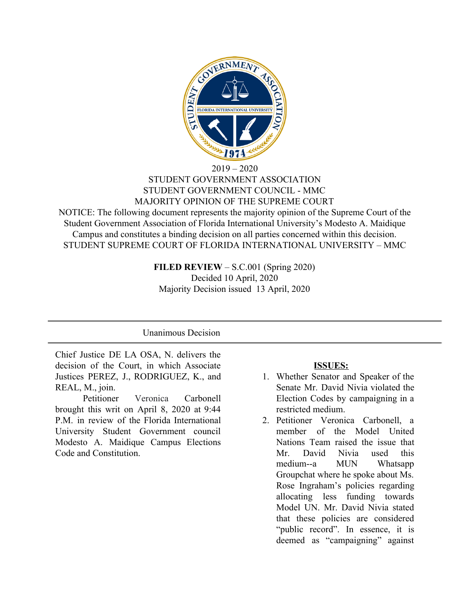

### $2019 - 2020$ STUDENT GOVERNMENT ASSOCIATION STUDENT GOVERNMENT COUNCIL - MMC MAJORITY OPINION OF THE SUPREME COURT

NOTICE: The following document represents the majority opinion of the Supreme Court of the Student Government Association of Florida International University's Modesto A. Maidique Campus and constitutes a binding decision on all parties concerned within this decision. STUDENT SUPREME COURT OF FLORIDA INTERNATIONAL UNIVERSITY – MMC

> **FILED REVIEW** – S.C.001 (Spring 2020) Decided 10 April, 2020 Majority Decision issued 13 April, 2020

## Unanimous Decision

Chief Justice DE LA OSA, N. delivers the decision of the Court, in which Associate Justices PEREZ, J., RODRIGUEZ, K., and REAL, M., join.

Petitioner Veronica Carbonell brought this writ on April 8, 2020 at 9:44 P.M. in review of the Florida International University Student Government council Modesto A. Maidique Campus Elections Code and Constitution.

#### **ISSUES:**

- 1. Whether Senator and Speaker of the Senate Mr. David Nivia violated the Election Codes by campaigning in a restricted medium.
- 2. Petitioner Veronica Carbonell, a member of the Model United Nations Team raised the issue that Mr. David Nivia used this medium--a MUN Whatsapp Groupchat where he spoke about Ms. Rose Ingraham's policies regarding allocating less funding towards Model UN. Mr. David Nivia stated that these policies are considered "public record". In essence, it is deemed as "campaigning" against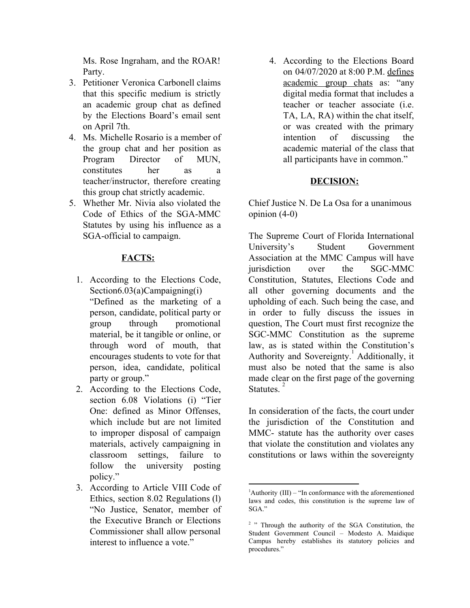Ms. Rose Ingraham, and the ROAR! Party.

- 3. Petitioner Veronica Carbonell claims that this specific medium is strictly an academic group chat as defined by the Elections Board's email sent on April 7th.
- 4. Ms. Michelle Rosario is a member of the group chat and her position as Program Director of MUN, constitutes her as a teacher/instructor, therefore creating this group chat strictly academic.
- 5. Whether Mr. Nivia also violated the Code of Ethics of the SGA-MMC Statutes by using his influence as a SGA-official to campaign.

# **FACTS:**

- 1. According to the Elections Code, Section6.03(a)Campaigning(i) "Defined as the marketing of a person, candidate, political party or group through promotional material, be it tangible or online, or through word of mouth, that encourages students to vote for that person, idea, candidate, political party or group."
- 2. According to the Elections Code, section 6.08 Violations (i) "Tier One: defined as Minor Offenses, which include but are not limited to improper disposal of campaign materials, actively campaigning in classroom settings, failure to follow the university posting policy."
- 3. According to Article VIII Code of Ethics, section 8.02 Regulations (l) "No Justice, Senator, member of the Executive Branch or Elections Commissioner shall allow personal interest to influence a vote."

4. According to the Elections Board on 04/07/2020 at 8:00 P.M. defines academic group chats as: "any digital media format that includes a teacher or teacher associate (i.e. TA, LA, RA) within the chat itself, or was created with the primary intention of discussing the academic material of the class that all participants have in common."

## **DECISION:**

Chief Justice N. De La Osa for a unanimous opinion (4-0)

The Supreme Court of Florida International University's Student Government Association at the MMC Campus will have jurisdiction over the SGC-MMC Constitution, Statutes, Elections Code and all other governing documents and the upholding of each. Such being the case, and in order to fully discuss the issues in question, The Court must first recognize the SGC-MMC Constitution as the supreme law, as is stated within the Constitution's Authority and Sovereignty.<sup>1</sup> Additionally, it must also be noted that the same is also made clear on the first page of the governing Statutes.

In consideration of the facts, the court under the jurisdiction of the Constitution and MMC- statute has the authority over cases that violate the constitution and violates any constitutions or laws within the sovereignty

 ${}^{1}$ Authority (III) – "In conformance with the aforementioned laws and codes, this constitution is the supreme law of SGA"

<sup>&</sup>lt;sup>2</sup> " Through the authority of the SGA Constitution, the Student Government Council – Modesto A. Maidique Campus hereby establishes its statutory policies and procedures."